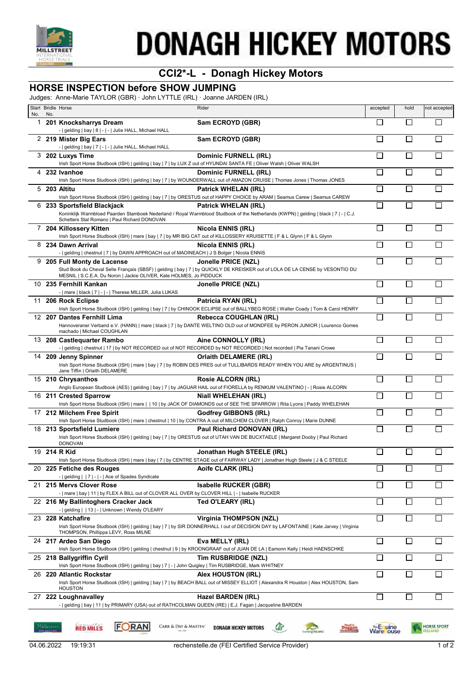

# **DONAGH HICKEY MOTORS**

## **CCI2\*-L - Donagh Hickey Motors**

### **HORSE INSPECTION before SHOW JUMPING**

Judges: Anne-Marie TAYLOR (GBR) · John LYTTLE (IRL) · Joanne JARDEN (IRL)

|     |            | Start Bridle Horse                                                                                                                 | Rider                                                                                                                                                                   | accepted         | hold           | not accepted                         |
|-----|------------|------------------------------------------------------------------------------------------------------------------------------------|-------------------------------------------------------------------------------------------------------------------------------------------------------------------------|------------------|----------------|--------------------------------------|
| No. | No.        |                                                                                                                                    |                                                                                                                                                                         |                  |                |                                      |
| 1   |            | 201 Knocksharrys Dream                                                                                                             | Sam ECROYD (GBR)                                                                                                                                                        | П                | $\Box$         |                                      |
|     |            | -   gelding   bay   8   -   -   Julie HALL, Michael HALL                                                                           |                                                                                                                                                                         |                  |                |                                      |
|     |            | 2 219 Mister Big Ears<br>-   gelding   bay   7   -   -   Julie HALL, Michael HALL                                                  | Sam ECROYD (GBR)                                                                                                                                                        | $\mathbb{R}^n$   |                |                                      |
|     |            | 3 202 Luxys Time                                                                                                                   | Dominic FURNELL (IRL)                                                                                                                                                   | $\mathsf{I}$     |                |                                      |
|     |            | Irish Sport Horse Studbook (ISH)   gelding   bay   7   by LUX Z out of HYUNDAI SANTA FE   Oliver Walsh   Oliver WALSH              |                                                                                                                                                                         |                  |                |                                      |
|     |            | 4 232 Ivanhoe                                                                                                                      | Dominic FURNELL (IRL)                                                                                                                                                   |                  |                |                                      |
|     |            |                                                                                                                                    | Irish Sport Horse Studbook (ISH)   gelding   bay   7   by WOUNDERWALL out of AMAZON CRUISE   Thomas Jones   Thomas JONES                                                |                  |                |                                      |
| 5   |            | 203 Altitu                                                                                                                         | Patrick WHELAN (IRL)                                                                                                                                                    |                  |                |                                      |
|     |            |                                                                                                                                    | Irish Sport Horse Studbook (ISH)   gelding   bay   7   by ORESTUS out of HAPPY CHOICE by ARAM   Seamus Carew   Seamus CAREW                                             |                  |                |                                      |
|     |            | 6 233 Sportsfield Blackjack                                                                                                        | <b>Patrick WHELAN (IRL)</b>                                                                                                                                             |                  |                |                                      |
|     |            | Schetters Stal Romano   Paul Richard DONOVAN                                                                                       | Koninklijk Warmbloed Paarden Stamboek Nederland / Royal Warmblood Studbook of the Netherlands (KWPN)   gelding   black   7   -   C.J.                                   |                  |                |                                      |
| 7   |            | 204 Killossery Kitten                                                                                                              | <b>Nicola ENNIS (IRL)</b>                                                                                                                                               | П                | $\mathsf{L}$   |                                      |
|     |            |                                                                                                                                    | Irish Sport Horse Studbook (ISH)   mare   bay   7   by MR BIG CAT out of KILLOSSERY KRUISETTE   F & L GIynn   F & L GIynn                                               |                  |                |                                      |
|     |            | 8 234 Dawn Arrival                                                                                                                 | Nicola ENNIS (IRL)                                                                                                                                                      |                  |                |                                      |
|     |            | -   gelding   chestnut   7   by DAWN APPROACH out of MAOINEACH   J S Bolger   Nicola ENNIS                                         |                                                                                                                                                                         |                  |                |                                      |
| 9   |            | 205 Full Monty de Lacense                                                                                                          | Jonelle PRICE (NZL)                                                                                                                                                     | Г                |                |                                      |
|     |            | MESNIL   S.C.E.A. Du Noron   Jackie OLIVER, Kate HOLMES, Jo PIDDUCK                                                                | Stud Book du Cheval Selle Français (SBSF)   gelding   bay   7   by QUICKLY DE KREISKER out of LOLA DE LA CENSE by VESONTIO DU                                           |                  |                |                                      |
|     |            | 10 235 Fernhill Kankan                                                                                                             | Jonelle PRICE (NZL)                                                                                                                                                     | $\Box$           | $\Box$         | $\Box$                               |
|     |            | -   mare   black   7   -   -   Therese MILLER, Julia LUKAS                                                                         |                                                                                                                                                                         |                  |                |                                      |
|     |            | 11 206 Rock Eclipse                                                                                                                | Patricia RYAN (IRL)                                                                                                                                                     | П                | $\Box$         | $\mathsf{L}$                         |
|     |            |                                                                                                                                    | Irish Sport Horse Studbook (ISH)   gelding   bay   7   by CHINOOK ECLIPSE out of BALLYBEG ROSE   Walter Coady   Tom & Carol HENRY                                       |                  |                |                                      |
|     |            | 12 207 Dantes Fernhill Lima                                                                                                        | Rebecca COUGHLAN (IRL)                                                                                                                                                  | П                | П              |                                      |
|     |            | machado   Michael COUGHLAN                                                                                                         | Hannoveraner Verband e.V. (HANN)   mare   black   7   by DANTE WELTINO OLD out of MONDFEE by PERON JUNIOR   Lourenco Gomes                                              |                  |                |                                      |
|     |            | 13 208 Castlequarter Rambo                                                                                                         | Aine CONNOLLY (IRL)                                                                                                                                                     |                  |                |                                      |
|     |            |                                                                                                                                    | -   gelding   chestnut   17   by NOT RECORDED out of NOT RECORDED by NOT RECORDED   Not recorded   Pia Tanani Crowe                                                     |                  |                |                                      |
|     |            | 14 209 Jenny Spinner                                                                                                               | Orlaith DELAMERE (IRL)                                                                                                                                                  |                  |                |                                      |
|     |            |                                                                                                                                    | Irish Sport Horse Studbook (ISH)   mare   bay   7   by ROBIN DES PRES out of TULLIBARDS READY WHEN YOU ARE by ARGENTINUS                                                |                  |                |                                      |
|     |            | Jane Tiffin   Orlaith DELAMERE                                                                                                     |                                                                                                                                                                         |                  |                |                                      |
|     |            | 15 210 Chrysanthos                                                                                                                 | <b>Rosie ALCORN (IRL)</b>                                                                                                                                               | П                | $\Box$         | $\mathsf{L}$                         |
|     |            |                                                                                                                                    | Anglo European Studbook (AES)   gelding   bay   7   by JAGUAR HAIL out of FIORELLA by RENKUM VALENTINO   -   Rosie ALCORN                                               |                  |                |                                      |
|     |            | 16 211 Crested Sparrow                                                                                                             | <b>Niall WHELEHAN (IRL)</b>                                                                                                                                             |                  |                |                                      |
|     |            | 17 212 Milchem Free Spirit                                                                                                         | Irish Sport Horse Studbook (ISH)   mare     10   by JACK OF DIAMONDS out of SEE THE SPARROW   Rita Lyons   Paddy WHELEHAN<br><b>Godfrey GIBBONS (IRL)</b>               |                  |                |                                      |
|     |            |                                                                                                                                    | Irish Sport Horse Studbook (ISH)   mare   chestnut   10   by CONTRA A out of MILCHEM CLOVER   Ralph Conroy   Marie DUNNE                                                |                  |                |                                      |
|     |            | 18 213 Sportsfield Lumiere                                                                                                         | Paul Richard DONOVAN (IRL)                                                                                                                                              | П                |                |                                      |
|     |            |                                                                                                                                    | Irish Sport Horse Studbook (ISH)   gelding   bay   7   by ORESTUS out of UTAH VAN DE BUCXTAELE   Margaret Dooby   Paul Richard                                          |                  |                |                                      |
|     |            | <b>DONOVAN</b>                                                                                                                     |                                                                                                                                                                         |                  |                |                                      |
|     |            | 19 214 R Kid                                                                                                                       | Jonathan Hugh STEELE (IRL)                                                                                                                                              | □                | $\Box$         | □                                    |
|     |            |                                                                                                                                    | Irish Sport Horse Studbook (ISH)   mare   bay   7   by CENTRE STAGE out of FAIRWAY LADY   Jonathan Hugh Steele   J & C STEELE                                           | □                | $\Box$         | $\mathsf{L}$                         |
|     |            | 20 225 Fetiche des Rouges<br>-   gelding     7   -   -   Ace of Spades Syndicate                                                   | Aoife CLARK (IRL)                                                                                                                                                       |                  |                |                                      |
| 21. |            | 215 Mervs Clover Rose                                                                                                              | <b>Isabelle RUCKER (GBR)</b>                                                                                                                                            | П                | $\mathbb{R}^n$ |                                      |
|     |            | -   mare   bay   11   by FLEX A BILL out of CLOVER ALL OVER by CLOVER HILL   -   Isabelle RUCKER                                   |                                                                                                                                                                         |                  |                |                                      |
|     |            | 22 216 My Ballintoghers Cracker Jack                                                                                               | Ted O'LEARY (IRL)                                                                                                                                                       |                  | $\Box$         |                                      |
|     |            | -   gelding     13   -   Unknown   Wendy O'LEARY                                                                                   |                                                                                                                                                                         |                  |                |                                      |
|     |            | 23 228 Katchafire                                                                                                                  | <b>Virginia THOMPSON (NZL)</b><br>Irish Sport Horse Studbook (ISH)   gelding   bay   7   by SIR DONNERHALL I out of DECISION DAY by LAFONTAINE   Kate Jarvey   Virginia | П                | $\mathsf{L}$   |                                      |
|     |            | THOMPSON, Phillippa LEVY, Ross MILNE                                                                                               |                                                                                                                                                                         |                  |                |                                      |
|     |            | 24 217 Ardeo San Diego                                                                                                             | Eva MELLY (IRL)                                                                                                                                                         |                  |                |                                      |
|     |            |                                                                                                                                    | Irish Sport Horse Studbook (ISH)   gelding   chestnut   9   by KROONGRAAF out of JUAN DE LA   Eamonn Kelly   Heidi HAENSCHKE                                            |                  |                |                                      |
|     |            | 25 218 Ballygriffin Cyril<br>Irish Sport Horse Studbook (ISH)   gelding   bay   7   -   John Quigley   Tim RUSBRIDGE, Mark WHITNEY | Tim RUSBRIDGE (NZL)                                                                                                                                                     | $\mathbf{I}$     |                |                                      |
|     |            | 26 220 Atlantic Rockstar                                                                                                           | Alex HOUSTON (IRL)                                                                                                                                                      | П                | $\mathbf{L}$   | H                                    |
|     |            |                                                                                                                                    | Irish Sport Horse Studbook (ISH)   gelding   bay   7   by BEACH BALL out of MISSEY ELLIOT   Alexandra R Houston   Alex HOUSTON, Sam                                     |                  |                |                                      |
|     |            | <b>HOUSTON</b>                                                                                                                     |                                                                                                                                                                         |                  |                |                                      |
|     |            | 27 222 Loughnavalley                                                                                                               | Hazel BARDEN (IRL)                                                                                                                                                      | □                | П              | П                                    |
|     |            | -   gelding   bay   11   by PRIMARY (USA) out of RATHCOLMAN QUEEN (IRE)   E.J. Fagan   Jacqueline BARDEN                           |                                                                                                                                                                         |                  |                |                                      |
|     |            |                                                                                                                                    |                                                                                                                                                                         |                  |                |                                      |
|     | Milløtreet | <b>RED MILLS</b><br><b>JRAN</b><br>CARR & DAY & MARTIN'                                                                            | <b>DONAGH HICKEY MOTORS</b><br>ఴ                                                                                                                                        | <b>Warehouse</b> |                | <b>HORSE SPORT</b><br><b>IRELAND</b> |
|     |            |                                                                                                                                    | ting <b>IRELAND</b>                                                                                                                                                     |                  |                |                                      |